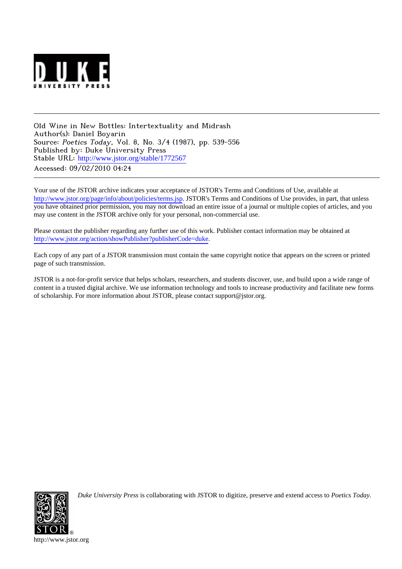

Old Wine in New Bottles: Intertextuality and Midrash Author(s): Daniel Boyarin Source: Poetics Today, Vol. 8, No. 3/4 (1987), pp. 539-556 Published by: Duke University Press Stable URL: [http://www.jstor.org/stable/1772567](http://www.jstor.org/stable/1772567?origin=JSTOR-pdf) Accessed: 09/02/2010 04:24

Your use of the JSTOR archive indicates your acceptance of JSTOR's Terms and Conditions of Use, available at <http://www.jstor.org/page/info/about/policies/terms.jsp>. JSTOR's Terms and Conditions of Use provides, in part, that unless you have obtained prior permission, you may not download an entire issue of a journal or multiple copies of articles, and you may use content in the JSTOR archive only for your personal, non-commercial use.

Please contact the publisher regarding any further use of this work. Publisher contact information may be obtained at <http://www.jstor.org/action/showPublisher?publisherCode=duke>.

Each copy of any part of a JSTOR transmission must contain the same copyright notice that appears on the screen or printed page of such transmission.

JSTOR is a not-for-profit service that helps scholars, researchers, and students discover, use, and build upon a wide range of content in a trusted digital archive. We use information technology and tools to increase productivity and facilitate new forms of scholarship. For more information about JSTOR, please contact support@jstor.org.



*Duke University Press* is collaborating with JSTOR to digitize, preserve and extend access to *Poetics Today.*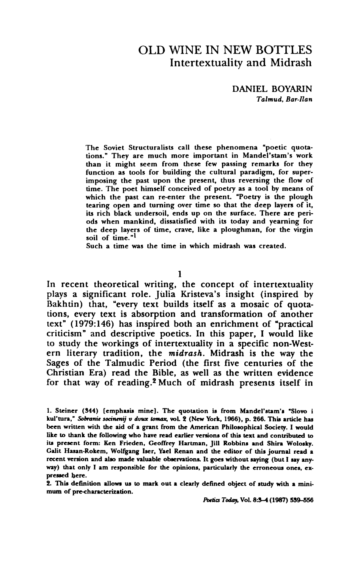## **OLD WINE IN NEW BOTTLES Intertextuality and Midrash**

**DANIEL BOYARIN Talmud, Bar-Ran** 

**The Soviet Structuralists call these phenomena "poetic quotations." They are much more important in Mandel'stam's work than it might seem from these few passing remarks for they function as tools for building the cultural paradigm, for superimposing the past upon the present, thus reversing the flow of time. The poet himself conceived of poetry as a tool by means of which the past can re-enter the present. "Poetry is the plough tearing open and turning over time so that the deep layers of it, its rich black undersoil, ends up on the surface. There are periods when mankind, dissatisfied with its today and yearning for the deep layers of time, crave, like a ploughman, for the virgin soil of time."1** 

**Such a time was the time in which midrash was created.** 

**1** 

**In recent theoretical writing, the concept of intertextuality plays a significant role. Julia Kristeva's insight (inspired by**  Bakhtin) that, "every text builds itself as a mosaic of quota**tions, every text is absorption and transformation of another text" (1979:146) has inspired both an enrichment of "practical criticism" and descriptive poetics. In this paper, I would like to study the workings of intertextuality in a specific non-Western literary tradition, the midrash. Midrash is the way the Sages of the Talmudic Period (the first five centuries of the Christian Era) read the Bible, as well as the written evidence for that way of reading.2 Much of midrash presents itself in** 

**2. This definition allows us to mark out a clearly defined object of study with a minimum of pre-characterization.** 

**Potics Today, Vol. 8:34 (1987) 539-556** 

**<sup>1.</sup> Steiner (344) [emphasis mine]. The quotation is from Mandel'stam's "Slovo i**  kul'tura," Sobranie socinenij v dvux tomax, vol. 2 (New York, 1966), p. 266. This article has **been written with the aid of a grant from the American Philosophical Society. I would like to thank the following who have read earlier versions of this text and contributed to its present form: Ken Frieden, Geoffrey Hartman, Jill Robbins and Shira Wolosky. Galit Hasan-Rokem, Wolfgang Iser, Yael Renan and the editor of this journal read a recent version and also made valuable observations It goes without saying (but I say anyway) that only I am responsible for the opinions, particularly the erroneous ones, expressed here.**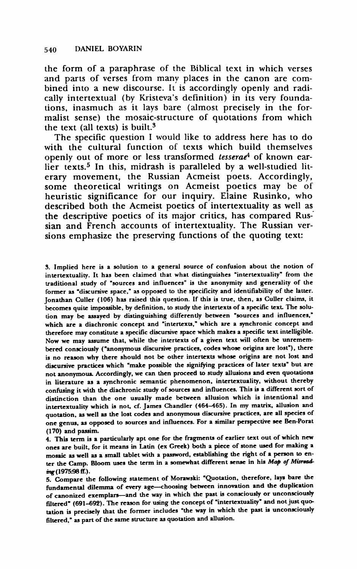**the form of a paraphrase of the Biblical text in which verses and parts of verses from many places in the canon are combined into a new discourse. It is accordingly openly and radically intertextual (by Kristeva's definition) in its very foundations, inasmuch as it lays bare (almost precisely in the formalist sense) the mosaic-structure of quotations from which the text (all texts) is built.3** 

**The specific question I would like to address here has to do with the cultural function of texts which build themselves openly out of more or less transformed tesserae4 of known ear**lier texts.<sup>5</sup> In this, midrash is paralleled by a well-studied lit**erary movement, the Russian Acmeist poets. Accordingly, some theoretical writings on Acmeist poetics may be of heuristic significance for our inquiry. Elaine Rusinko, who described both the Acmeist poetics of intertextuality as well as the descriptive poetics of its major critics, has compared Russian and French accounts of intertextuality. The Russian versions emphasize the preserving functions of the quoting text:** 

**3. Implied here is a solution to a general source of confusion about the notion of intertextuality. It has been claimed that what distinguishes "intertextuality" from the traditional study of "sources and influences" is the anonymity and generality of the former as 'discursive space," as opposed to the specificity and identifiability of the latter. Jonathan Culler (106) has raised this question. If this is true, then, as Culler claims, it becomes quite impossible, by definition, to study the intertexts of a specific text. The solution may be assayed by distinguishing differently between "sources and influences," which are a diachronic concept and 'intertexts," which are a synchronic concept and therefore may constitute a specific discursive space which makes a specific text intelligible. Now we may assume that, while the intertexts of a given text will often be unremembered consciously ("anonymous discursive practices, codes whose origins are lost"), there is no reason why there should not be other intertexts whose origins are not lost and discursive practices which "make possible the signifying practices of later texts' but are not anonymous. Accordingly, we can then proceed to study allusions and even quotations in literature as a synchronic semantic phenomenon, intertextuality, without thereby confusing it with the diachronic study of sources and influences. This is a different sort of distinction than the one usually made between allusion which is intentional and intertextuality which is not, cf. James Chandler (464-465). In my matrix, allusion and quotation, as well as the lost codes and anonymous discursive practices, are all species of one genus, as opposed to sources and influences. For a similar perspective see Ben-Porat (170) and passim.** 

**4. This term is a particularly apt one for the fragments of earlier text out of which new ones are built, for it means in Latin (ex Greek) both a piece of stone used for making a mosaic as well as a small tablet with a password, establishing the right of a person to enter the Camp. Bloom uses the term in a somewhat different sense in his Map of Misradmg(1975:98 ff.).** 

**5. Compare the following statement of Morawski: 'Quotation, therefore, lays bare the**  fundamental dilemma of every age-choosing between innovation and the duplication **of canonized exemplars-and the way in which the past is consciously or unconsciously filtered\* (691-692). The reason for using the concept of "intertextuality" and not just quotation is precisely that the former includes 'the way in which the past is unconsciously filtered," as part of the same structure as quotation and allusion.**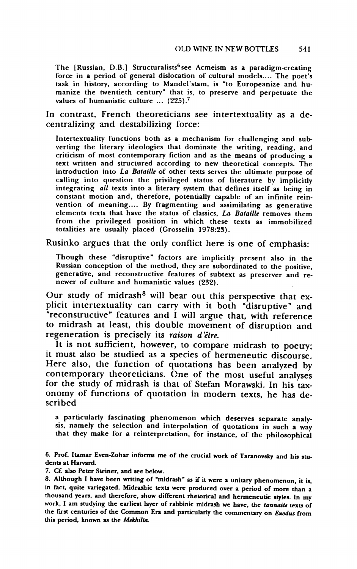The [Russian, D.B.] Structuralists<sup>6</sup> see Acmeism as a paradigm-creating **force in a period of general dislocation of cultural models.... The poet's task in history, according to Mandel'stam, is "to Europeanize and humanize the twentieth century" that is, to preserve and perpetuate the values of humanistic culture ... (225).7** 

**In contrast, French theoreticians see intertextuality as a decentralizing and destabilizing force:** 

**Intertextuality functions both as a mechanism for challenging and subverting the literary ideologies that dominate the writing, reading, and criticism of most contemporary fiction and as the means of producing a text written and structured according to new theoretical concepts. The introduction into La Bataille of other texts serves the ultimate purpose of calling into question the privileged status of literature by implicitly integrating all texts into a literary system that defines itself as being in constant motion and, therefore, potentially capable of an infinite reinvention of meaning.... By fragmenting and assimilating as generative elements texts that have the status of classics, La Bataille removes them from the privileged position in which these texts as immobilized totalities are usually placed (Grosselin 1978:23).** 

**Rusinko argues that the only conflict here is one of emphasis:** 

**Though these "disruptive" factors are implicitly present also in the Russian conception of the method, they are subordinated to the positive, generative, and reconstructive features of subtext as preserver and renewer of culture and humanistic values (232).** 

Our study of midrash<sup>8</sup> will bear out this perspective that ex**plicit intertextuality can carry with it both "disruptive" and "reconstructive" features and I will argue that, with reference to midrash at least, this double movement of disruption and**  regeneration is precisely its raison d'être.<br>It is not sufficient, however, to compare midrash to poetry;

it must also be studied as a species of hermeneutic discourse. **Here also, the function of quotations has been analyzed by**  for the study of midrash is that of Stefan Morawski. In his tax**onomy of functions of quotation in modern texts, he has described** 

**a particularly fascinating phenomenon which deserves separate analy**that they make for a reinterpretation, for instance, of the philosophical

**7. Cf. also Peter Steiner, and see below.** 

**<sup>6.</sup> Prof. Itamar Even-Zohar informs me of the crucial work of Taranovsky and his students at Harvard.** 

**<sup>8.</sup> Although I have been writing of 'midrash' as if it were a unitary phenomenon, it is, in fact, quite variegated. Midrashic texts were produced over a period of more than a thousand years, and therefore, show different rhetorical and hermeneutic styles. In my work, I am studying the earliest layer of rabbinic midrash we have, the tannaite texts of the first centuries of the Common Era and particularly the commentary on Exodus from this period, known as the Mekhilta.**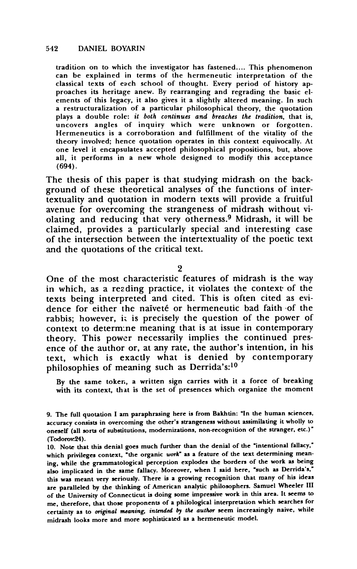**tradition on to which the investigator has fastened.... This phenomenon can be explained in terms of the hermeneutic interpretation of the classical texts of each school of thought. Every period of history approaches its heritage anew. By rearranging and regrading the basic elements of this legacy, it also gives it a slightly altered meaning. In such a restructuralization of a particular philosophical theory, the quotation plays a double role: it both continues and breaches the tradition, that is, uncovers angles of inquiry which were unknown or forgotten. Hermeneutics is a corroboration and fulfillment of the vitality of the theory involved; hence quotation operates in this context equivocally. At one level it encapsulates accepted philosophical propositions, but, above all, it performs in a new whole designed to modify this acceptance (694).** 

**The thesis of this paper is that studying midrash on the background of these theoretical analyses of the functions of intertextuality and quotation in modern texts will provide a fruitful avenue for overcoming the strangeness of midrash without violating and reducing that very otherness.9 Midrash, it will be claimed, provides a particularly special and interesting case of the intersection between the intertextuality of the poetic text and the quotations of the critical text.** 

**2** 

**One of the most characteristic features of midrash is the way in which, as a rezding practice, it violates the context' of the texts being interpreted and cited. This is often cited as evi**dence for either the naiveté or hermeneutic bad faith of the **rabbis; however, it is precisely the question of the power of context to determ:ne meaning that is at issue in contemporary theory. This power necessarily implies the continued presence of the author or, at any rate, the author's intention, in his text, which is exactly what is denied by contemporary philosophies of meaning such as Derrida's:10** 

**By the same token, a written sign carries with it a force of breaking with its context, that is the set of presences which organize the moment** 

**<sup>9.</sup> The full quotation I am paraphrasing here is from Bakhtin: "In the human sciences, accuracy consists in overcoming the other's strangeness without assimilating it wholly to oneself (all sorts of substitutions, modernizations, non-recognition of the stranger, etc.)" (Todorov:24).** 

**<sup>10.</sup> Note that this denial goes much further than the denial of the "intentional fallacy,"**  which privileges context, "the organic work" as a feature of the text determining mean**ing, while the grammatological perception explodes the borders of the work as being also implicated in the same fallacy. Moreover, when I said here, "such as Derrida's," this was meant very seriously. There is a growing recognition that many of his ideas are paralleled by the thinking of American analytic philosophers. Samuel Wheeler III of the University of Connecticut is doing some impressive work in this area. It seems to me, therefore, that those proponents of a philological interpretation which searches for certainty as to original meaning, intended by the author seem increasingly naive, while midrash looks more and more sophisticated as a hermeneutic model.**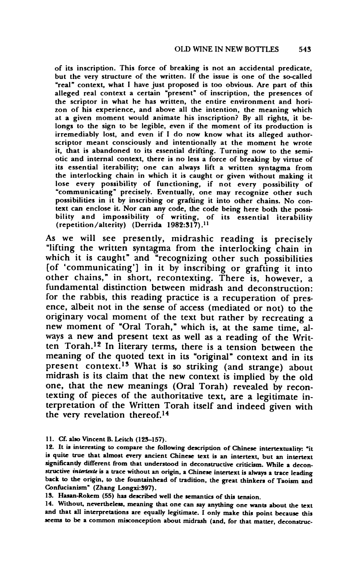**of its inscription. This force of breaking is not an accidental predicate, but the very structure of the written. If the issue is one of the so-called "real" context, what I have just proposed is too obvious. Are part of this alleged real context a certain "present" of inscription, the presences of the scriptor in what he has written, the entire environment and horizon of his experience, and above all the intention, the meaning which at a given moment would animate his inscription? By all rights, it belongs to the sign to be legible, even if the moment of its production is irremediably lost, and even if I do now know what its alleged authorscriptor meant consciously and intentionally at the moment he wrote it, that is abandoned to its essential drifting. Turning now to the semiotic and internal context, there is no less a force of breaking by virtue of its essential iterability; one can always lift a written syntagma from the interlocking chain in which it is caught or given without making it lose every possibility of functioning, if not every possibility of "communicating" precisely. Eventually, one may recognize other such possibilities in it by inscribing or grafting it into other chains. No context can enclose it. Nor can any code, the code being here both the possibility and impossibility of writing, of its essential iterability (repetition/alterity) (Derrida 1982:317).1I** 

**As we will see presently, midrashic reading is precisely "lifting the written syntagma from the interlocking chain in which it is caught" and "recognizing other such possibilities [of 'communicating'] in it by inscribing or grafting it into other chains," in short, recontexting. There is, however, a fundamental distinction between midrash and deconstruction: for the rabbis, this reading practice is a recuperation of presence, albeit not in the sense of access (mediated or not) to the originary vocal moment of the text but rather by recreating a new moment of "Oral Torah," which is, at the same time, always a new and present text as well as a reading of the Written Torah.12 In literary terms, there is a tension between the meaning of the quoted text in its "original" context and in its present context.13 What is so striking (and strange) about midrash is its claim that the new context is implied by the old one, that the new meanings (Oral Torah) revealed by recontexting of pieces of the authoritative text, are a legitimate interpretation of the Written Torah itself and indeed given with the very revelation thereof.14** 

**11. Cf. also Vincent B. Leitch (123-157).** 

**12. It is interesting to compare the following description of Chinese intertextuality: "it is quite true that almost every ancient Chinese text is an intertext, but an intertext significantly different from that understood in deconstructive criticism. While a deconstructive intetexte is a trace without an origin, a Chinese intertext is always a trace leading back to the origin, to the fountainhead of tradition, the great thinkers of Taoism and Confucianism" (Zhang Longxi:397).** 

**13. Hasan-Rokem (55) has described well the semantics of this tension.** 

**14. Without, nevertheless, meaning that one can say anything one wants about the text and that all interpretations are equally legitimate. I only make this point because this seems to be a common misconception about midrash (and, for that matter, deconstruc-**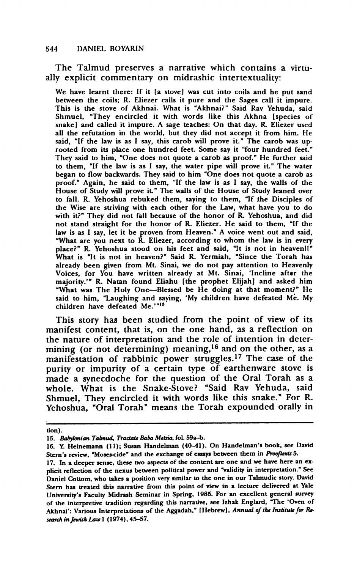**The Talmud preserves a narrative which contains a virtually explicit commentary on midrashic intertextuality:** 

**We have learnt there: If it [a stove] was cut into coils and he put sand between the coils; R. Eliezer calls it pure and the Sages call it impure. This is the stove of Akhnai. What is "Akhnai?" Said Rav Yehuda, said Shmuel, "They encircled it with words like this Akhna [species of snake] and called it impure. A sage teaches: On that day. R. Eliezer used all the refutation in the world, but they did not accept it from him. He said, "If the law is as I say, this carob will prove it." The carob was uprooted from its place one hundred feet. Some say it "four hundred feet." They said to him, "One does not quote a carob as proof." He further said to them, "If the law is as I say, the water pipe will prove it." The water began to flow backwards. They said to him "One does not quote a carob as proof." Again, he said to them, "If the law is as I say, the walls of the House of Study will prove it." The walls of the House of Study leaned over to fall. R. Yehoshua rebuked them, saying to them, "If the Disciples of the Wise are striving with each other for the Law, what have you to do with it?" They did not fall because of the honor of R. Yehoshua, and did not stand straight for the honor of R. Eliezer. He said to them, "If the law is as I say, let it be proven from Heaven." A voice went out and said, "What are you next to R. Eliezer, according to whom the law is in every place?" R. Yehoshua stood on his feet and said, "It is not in heavenll" What is "It is not in heaven?" Said R. Yermiah, "Since the Torah has already been given from Mt. Sinai, we do not pay attention to Heavenly Voices, for You have written already at Mt. Sinai, 'Incline after the majority.'" R. Natan found Eliahu [the prophet Elijah] and asked him "What was The Holy One-Blessed be He doing at that moment?" He said to him, "Laughing and saying, 'My children have defeated Me. My children have defeated Me.'"i5** 

**This story has been studied from the point of view of its manifest content, that is, on the one hand, as a reflection on the nature of interpretation and the role of intention in determining (or not determining) meaning,16 and on the other, as a**  manifestation of rabbinic power struggles.<sup>17</sup> The case of the **purity or impurity of a certain type of earthenware stove is made a synecdoche for the question of the Oral Torah as a whole. What is the Snake-Stove? "Said Rav Yehuda, said Shmuel, They encircled it with words like this snake." For R. Yehoshua, "Oral Torah" means the Torah expounded orally in** 

**tion).** 

<sup>15.</sup> Babylonian Talmud, Tractate Baba Metsia, fol. 59a-b.

**<sup>16.</sup> Y. Heinemann (11); Susan Handelman (40-41). On Handelman's book, see David**  Stern's review, "Moses-cide" and the exchange of essays between them in Prooftexts 5.

**<sup>17.</sup> In a deeper sense, these two aspects of the content are one and we have here an explicit reflection of the nexus between political power and validity in interpretation.' See Daniel Cottom, who takes a position very similar to the one in our Talmudic story. David Stern has treated this narrative from this point of view in a lecture delivered at Yale University's Faculty Midrash Seminar in Spring, 1985. For an excellent general survey of the interpretive tradition regarding this narrative, see Izhak Englard, The 'Oven of**  Akhnai': Various Interpretations of the Aggadah," [Hebrew], Annual of the Institute for Research in Jewish Law 1 (1974), 45-57.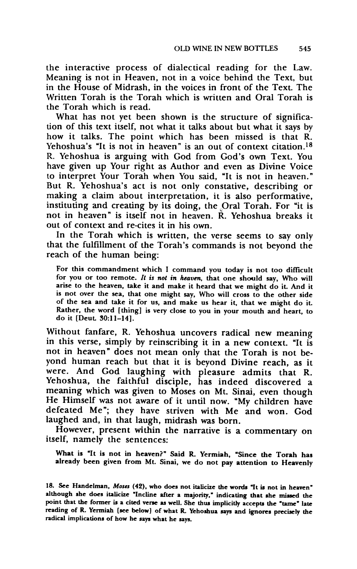**the interactive process of dialectical reading for the Law. Meaning is not in Heaven, not in a voice behind the Text, but in the House of Midrash, in the voices in front of the Text. The Written Torah is the Torah which is written and Oral Torah is the Torah which is read.** 

**What has not yet been shown is the structure of signification of this text itself, not what it talks about but what it says by how it talks. The point which has been missed is that R. Yehoshua's "It is not in heaven" is an out of context citation.18 R. Yehoshua is arguing with God from God's own Text. You have given up Your right as Author and even as Divine Voice to interpret Your Torah when You said, "It is not in heaven." But R. Yehoshua's act is not only constative, describing or making a claim about interpretation, it is also performative, instituting and creating by its doing, the Oral Torah. For "it is not in heaven" is itself not in heaven. R. Yehoshua breaks it out of context and re-cites it in his own.** 

**In the Torah which is written, the verse seems to say only that the fulfillment of the Torah's commands is not beyond the reach of the human being:** 

**For this commandment which I command you today is not too difficult for you or too remote. It is not in heaven, that one should say, Who will arise to the heaven, take it and make it heard that we might do it. And it is not over the sea, that one might say, Who will cross to the other side of the sea and take it for us, and make us hear it, that we might do it. Rather, the word [thing] is very close to you in your mouth and heart, to do it [Deut 30:11-14].** 

**Without fanfare, R. Yehoshua uncovers radical new meaning in this verse, simply by reinscribing it in a new context. "It is not in heaven" does not mean only that the Torah is not beyond human reach but that it is beyond Divine reach, as it were. And God laughing with pleasure admits that R. Yehoshua, the faithful disciple, has indeed discovered a**  He Himself was not aware of it until now. "My children have **defeated Me"; they have striven with Me and won. God laughed and, in that laugh, midrash was born.** 

**However, present within the narrative is a commentary on itself, namely the sentences:** 

**What is "It is not in heaven?" Said R. Yermiah, "Since the Torah has already been given from Mt. Sinai, we do not pay attention to Heavenly** 

<sup>18.</sup> See Handelman, Moses (42), who does not italicize the words "It is not in heaven" **although she does italicize "Incline after a majority," indicating that she missed the**  point that the former is a cited verse as well. She thus implicitly accepts the "tame" late **reading of R. Yermiah (see below] of what R. Yehoshua says and ignores precisely the radical implications of how he says what he says.**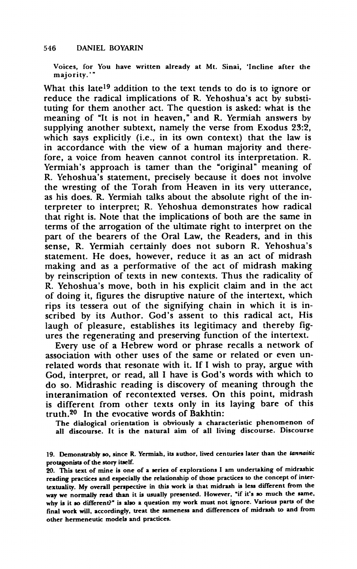**Voices, for You have written already at Mt. Sinai, 'Incline after the majority.'"** 

**What this late19 addition to the text tends to do is to ignore or reduce the radical implications of R. Yehoshua's act by substituting for them another act. The question is asked: what is the meaning of "It is not in heaven," and R. Yermiah answers by supplying another subtext, namely the verse from Exodus 23:2, which says explicitly (i.e., in its own context) that the law is in accordance with the view of a human majority and therefore, a voice from heaven cannot control its interpretation. R. Yermiah's approach is tamer than the "original" meaning of R. Yehoshua's statement, precisely because it does not involve the wresting of the Torah from Heaven in its very utterance, as his does. R. Yermiah talks about the absolute right of the interpreter to interpret; R. Yehoshua demonstrates how radical that right is. Note that the implications of both are the same in terms of the arrogation of the ultimate right to interpret on the part of the bearers of the Oral Law, the Readers, and in this sense, R. Yermiah certainly does not suborn R. Yehoshua's statement. He does, however, reduce it as an act of midrash making and as a performative of the act of midrash making by reinscription of texts in new contexts. Thus the radicality of R. Yehoshua's move, both in his explicit claim and in the act of doing it, figures the disruptive nature of the intertext, which rips its tessera out of the signifying chain in which it is inscribed by its Author. God's assent to this radical act, His laugh of pleasure, establishes its legitimacy and thereby figures the regenerating and preserving function of the intertext.** 

**Every use of a Hebrew word or phrase recalls a network of association with other uses of the same or related or even unrelated words that resonate with it. If I wish to pray, argue with God, interpret, or read, all I have is God's words with which to do so. Midrashic reading is discovery of meaning through the interanimation of recontexted verses. On this point, midrash is different from other texts only in its laying bare of this truth.20 In the evocative words of Bakhtin:** 

**The dialogical orientation is obviously a characteristic phenomenon of all discourse. It is the natural aim of all living discourse. Discourse** 

**<sup>19.</sup> Demonstrably so, since R. Yermiah, its author, lived centuries later than the tannaitic protagonists of the story itself.** 

**<sup>20.</sup> This text of mine is one of a series of explorations I am undertaking of midrashic reading practices and especially the relationship of those practices to the concept of intertextuality. My overall perspective in this work is that midrash is less different from the way we normally read than it is usually presented. However, 'if it's so much the same, why is it so different?" is also a question my work must not ignore. Various parts of the final work will, accordingly, treat the sameness and differences of midrash to and from other hermeneutic models and practices.**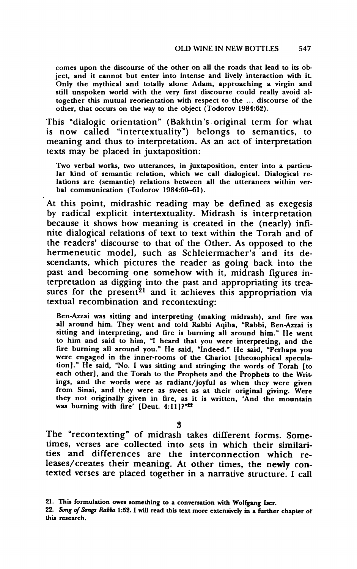**comes upon the discourse of the other on all the roads that lead to its object, and it cannot but enter into intense and lively interaction with it. Only the mythical and totally alone Adam, approaching a virgin and still unspoken world with the very first discourse could really avoid altogether this mutual reorientation with respect to the ... discourse of the other, that occurs on the way to the object (Todorov 1984:62).** 

**This "dialogic orientation" (Bakhtin's original term for what is now called "intertextuality") belongs to semantics, to meaning and thus to interpretation. As an act of interpretation texts may be placed in juxtaposition:** 

**Two verbal works, two utterances, in juxtaposition, enter into a particular kind of semantic relation, which we call dialogical. Dialogical relations are (semantic) relations between all the utterances within verbal communication (Todorov 1984:60-61).** 

**At this point, midrashic reading may be defined as exegesis by radical explicit intertextuality. Midrash is interpretation because it shows how meaning is created in the (nearly) infinite dialogical relations of text to text within the Torah and of the readers' discourse to that of the Other. As opposed to the hermeneutic model, such as Schleiermacher's and its descendants, which pictures the reader as going back into the past and becoming one somehow with it, midrash figures interpretation as digging into the past and appropriating its trea**sures for the present<sup>21</sup> and it achieves this appropriation via **textual recombination and recontexting:** 

**Ben-Azzai was sitting and interpreting (making midrash), and fire was all around him. They went and told Rabbi Aqiba, "Rabbi, Ben-Azzai is sitting and interpreting, and fire is burning all around him." He went to him and said to him, "I heard that you were interpreting, and the fire burning all around you." He said, "Indeed." He said, "Perhaps you were engaged in the inner-rooms of the Chariot [theosophical speculation]." He said, "No. I was sitting and stringing the words of Torah [to each other], and the Torah to the Prophets and the Prophets to the Writings, and the words were as radiant/joyful as when they were given from Sinai, and they were as sweet as at their original giving. Were they not originally given in fire, as it is written, 'And the mountain was burning with fire' [Deut. 4:11]?"22** 

**3** 

**The "recontexting" of midrash takes different forms. Sometimes, verses are collected into sets in which their similarities and differences are the interconnection which releases/creates their meaning. At other times, the newly contexted verses are placed together in a narrative structure. I call** 

**<sup>21.</sup> This formulation owes something to a conversation with Wolfgang Iser.** 

**<sup>22.</sup> Song of Songs Rabba 1:52. I will read this text more extensively in a further chapter of this research.**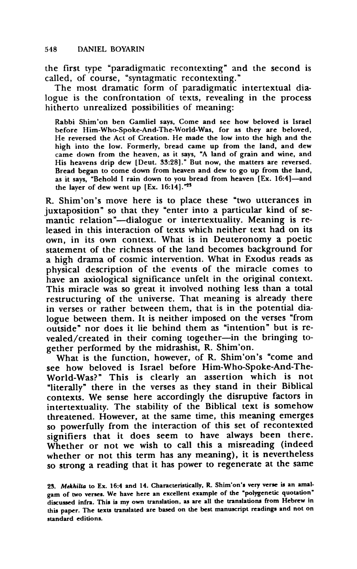**the first type "paradigmatic recontexting" and the second is called, of course, "syntagmatic recontexting."** 

**The most dramatic form of paradigmatic intertextual dialogue is the confrontation of texts, revealing in the process hitherto unrealized possibilities of meaning:** 

**Rabbi Shim'on ben Gamliel says, Come and see how beloved is Israel before Him-Who-Spoke-And-The-World-Was, for as they are beloved, He reversed the Act of Creation. He made the low into the high and the high into the low. Formerly, bread came up from the land, and dew came down from the heaven, as it says, "A land of grain and wine, and His heavens drip dew [Deut. 33:28]." But now, the matters are reversed. Bread began to come down from heaven and dew to go up from the land, as it says, "Behold I rain down to you bread from heaven [Ex. 16:41-and the layer of dew went up [Ex. 16:14].'23** 

**R. Shim'on's move here is to place these "two utterances in juxtaposition" so that they "enter into a particular kind of semantic relation"-dialogue or intertextuality. Meaning is released in this interaction of texts which neither text had on its own, in its own context. What is in Deuteronomy a poetic statement of the richness of the land becomes background for a high drama of cosmic intervention. What in Exodus reads as physical description of the events of the miracle comes to have an axiological significance unfelt in the original context. This miracle was so great it involved nothing less than a total restructuring of the universe. That meaning is already there in verses or rather between them, that is in the potential dialogue between them. It is neither imposed on the verses "from outside" nor does it lie behind them as "intention" but is re**vealed/created in their coming together-in the bringing to**gether performed by the midrashist, R. Shim'on.** 

**What is the function, however, of R. Shim'on's "come and see how beloved is Israel before Him-Who-Spoke-And-The-World-Was?" This is clearly an assertion which is not "literally" there in the verses as they stand in their Biblical contexts. We sense here accordingly the disruptive factors in intertextuality. The stability of the Biblical text is somehow threatened. However, at the same time, this meaning emerges so powerfully from the interaction of this set of recontexted signifiers that it does seem to have always been there. Whether or not we wish to call this a misreading (indeed whether or not this term has any meaning), it is nevertheless so strong a reading that it has power to regenerate at the same** 

**<sup>23.</sup> Mekhilta to Ex. 16:4 and 14. Characteristically, R. Shim'on's very verse is an amalgam of two verses. We have here an excellent example of the 'polygenetic quotation' discussed infra. This is my own translation, as are all the translations from Hebrew in this paper. The texts translated are based on the best manuscript readings and not on standard editions.**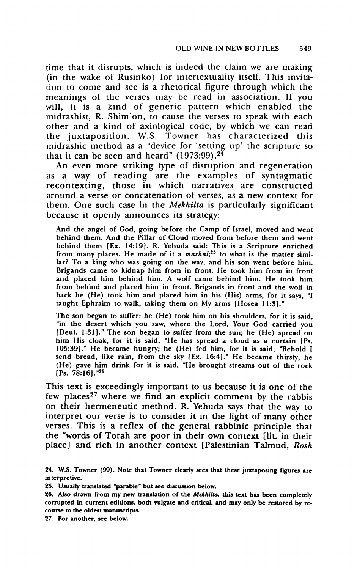**time that it disrupts, which is indeed the claim we are making (in the wake of Rusinko) for intertextuality itself. This invitation to come and see is a rhetorical figure through which the meanings of the verses may be read in association. If you**  will, it is a kind of generic pattern which enabled the **midrashist, R. Shim'on, to cause the verses to speak with each other and a kind of axiological code, by which we can read the juxtaposition. W.S. Towner has characterized this midrashic method as a "device for 'setting up' the scripture so that it can be seen and heard" (1973:99).24** 

**An even more striking type of disruption and regeneration as a way of reading are the examples of syntagmatic recontexting, those in which narratives are constructed around a verse or concatenation of verses, as a new context for them. One such case in the Mekhilta is particularly significant because it openly announces its strategy:** 

**And the angel of God, going before the Camp of Israel, moved and went behind them. And the Pillar of Cloud moved from before them and went**  behind them [Ex. 14:19]. R. Yehuda said: This is a Scripture enriched from many places. He made of it a *mashal*;<sup>25</sup> to what is the matter simi**lar? To a king who was going on the way, and his son went before him. Brigands came to kidnap him from in front. He took him from in front and placed him behind him. A wolf came behind him. He took him from behind and placed him in front. Brigands in front and the wolf in back he (He) took him and placed him in his (His) arms, for it says, "I taught Ephraim to walk, taking them on My arms [Hosea 11:31."** 

**The son began to suffer; he (He) took him on his shoulders, for it is said, "in the desert which you saw, where the Lord, Your God carried you [Deut. 1:31]." The son began to suffer from the sun; he (He) spread on him His cloak, for it is said, "He has spread a cloud as a curtain [Ps. 105:391." He became hungry; he (He) fed him, for it is said, "Behold I send bread, like rain, from the sky [Ex. 16:4]." He became thirsty, he (He) gave him drink for it is said, "He brought streams out of the rock [Ps. 78:16]."26** 

**This text is exceedingly important to us because it is one of the few places27 where we find an explicit comment by the rabbis on their hermeneutic method. R. Yehuda says that the way to interpret our verse is to consider it in the light of many other verses. This is a reflex of the general rabbinic principle that the "words of Torah are poor in their own context [lit. in their place] and rich in another context [Palestinian Talmud, Rosh** 

**<sup>24.</sup> W.S. Towner (99). Note that Towner clearly sees that these juxtaposing figures are interpretive.** 

**<sup>25.</sup> Usually translated 'parable' but see discussion below.** 

**<sup>26.</sup> Also drawn from my new translation of the Mekhilta, this text has been completely corrupted in current editions, both vulgate and critical, and may only be restored by recourse to the oldest manuscripts.** 

**<sup>27.</sup> For another, see below.**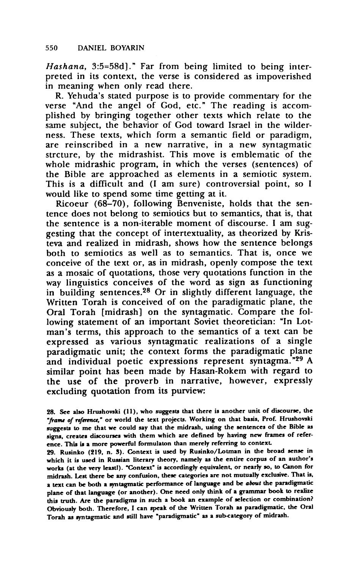**Hashana, 3:5=58d]." Far from being limited to being interpreted in its context, the verse is considered as impoverished in meaning when only read there.** 

**R. Yehuda's stated purpose is to provide commentary for the verse "And the angel of God, etc." The reading is accomplished by bringing together other texts which relate to the same subject, the behavior of God toward Israel in the wilderness. These texts, which form a semantic field or paradigm, are reinscribed in a new narrative, in a new syntagmatic strcture, by the midrashist. This move is emblematic of the whole midrashic program, in which the verses (sentences) of the Bible are approached as elements in a semiotic system. This is a difficult and (I am sure) controversial point, so I would like to spend some time getting at it.** 

**Ricoeur (68-70), following Benveniste, holds that the sentence does not belong to semiotics but to semantics, that is, that the sentence is a non-iterable moment of discourse. I am suggesting that the concept of intertextuality, as theorized by Kristeva and realized in midrash, shows how the sentence belongs both to semiotics as well as to semantics. That is, once we conceive of the text or, as in midrash, openly compose the text as a mosaic of quotations, those very quotations function in the way linguistics conceives of the word as sign as functioning in building sentences.28 Or in slightly different language, the Written Torah is conceived of on the paradigmatic plane, the Oral Torah [midrash] on the syntagmatic. Compare the following statement of an important Soviet theoretician: "In Lotman's terms, this approach to the semantics of a text can be expressed as various syntagmatic realizations of a single paradigmatic unit; the context forms the paradigmatic plane and individual poetic expressions represent syntagma."29 A similar point has been made by Hasan-Rokem with regard to the use of the proverb in narrative, however, expressly excluding quotation from its purview:** 

**29. Rusinko (219, n. 3). Context is used by Rusinko/Lotman in the broad sense in which it is used in Russian literary theory, namely as the entire corpus of an author's works (at the very least). "Context" is accordingly equivalent, or nearly so, to Canon for midrash. Lest there be any confusion, these categories are not mutually exclusive. That is, a text can be both a syntagmatic performance of language and be about the paradigmatic plane of that language (or another). One need only think of a grammar book to realize this truth. Are the paradigms in such a book an example of selection or combination? Obviously both. Therefore, I can speak of the Written Torah as paradigmatic, the Oral Torah as syntagmatic and still have 'paradigmatic' as a sub-category of midrash.** 

**<sup>28.</sup> See also Hrushovski (11), who suggests that there is another unit of discourse, the "frame of refernce," or world the text projects. Working on that basis, Prof. Hrushovski suggests to me that we could say that the midrash, using the sentences of the Bible as signs, creates discourses with them which are defined by having new frames of reference. This is a more powerful formulaton than merely referring to context.**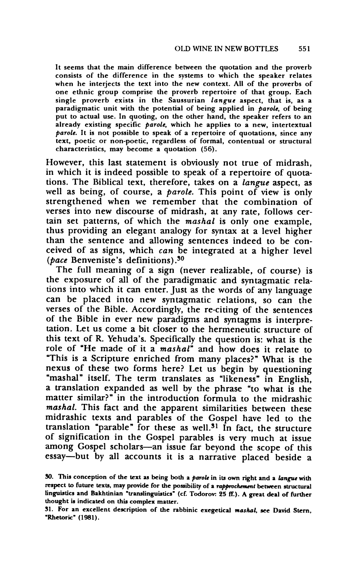**It seems that the main difference between the quotation and the proverb consists of the difference in the systems to which the speaker relates when he interjects the text into the new context. All of the proverbs of one ethnic group comprise the proverb repertoire of that group. Each single proverb exists in the Saussurian langue aspect, that is, as a paradigmatic unit with the potential of being applied in parole, of being put to actual use. In quoting, on the other hand, the speaker refers to an already existing specific parole, which he applies to a new, intertextual parole. It is not possible to speak of a repertoire of quotations, since any text, poetic or non-poetic, regardless of formal, contentual or structural characteristics, may become a quotation (56).** 

**However, this last statement is obviously not true of midrash, in which it is indeed possible to speak of a repertoire of quotations. The Biblical text, therefore, takes on a langue aspect, as well as being, of course, a parole. This point of view is only strengthened when we remember that the combination of verses into new discourse of midrash, at any rate, follows certain set patterns, of which the mashal is only one example, thus providing an elegant analogy for syntax at a level higher than the sentence and allowing sentences indeed to be conceived of as signs, which can be integrated at a higher level (pace Benveniste's definitions).30** 

**The full meaning of a sign (never realizable, of course) is the exposure of all of the paradigmatic and syntagmatic relations into which it can enter. Just as the words of any language can be placed into new syntagmatic relations, so can the verses of the Bible. Accordingly, the re-citing of the sentences of the Bible in ever new paradigms and syntagms is interpre- tation. Let us come a bit closer to the hermeneutic structure of this text of R. Yehuda's. Specifically the question is: what is the role of "He made of it a mashal" and how does it relate to "This is a Scripture enriched from many places?" What is the nexus of these two forms here? Let us begin by questioning "mashal" itself. The term translates as "likeness" in English, a translation expanded as well by the phrase "to what is the matter similar?" in the introduction formula to the midrashic mashal. This fact and the apparent similarities between these midrashic texts and parables of the Gospel have led to the translation "parable" for these as well.31 In fact, the structure of signification in the Gospel parables is very much at issue**  among Gospel scholars-an issue far beyond the scope of this **essay-but by all accounts it is a narrative placed beside a** 

**<sup>30.</sup> This conception of the text as being both a parole in its own right and a langue with respect to future texts, may provide for the possibility of a rapprochement between structural linguistics and Bakhtinian "translinguistics' (cf. Todorov: 25 ff.). A great deal of further thought is indicated on this complex matter.** 

**<sup>31.</sup> For an excellent description of the rabbinic exegetical mashal, see David Stern, 'Rhetoric" (1981).**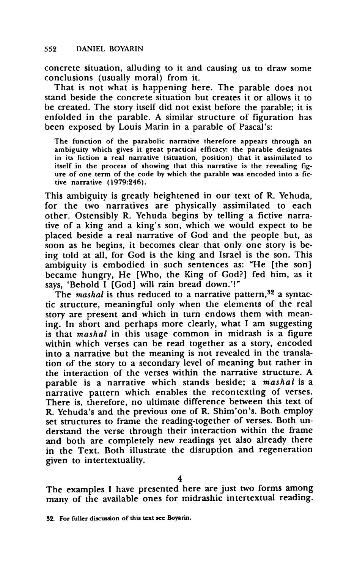**concrete situation, alluding to it and causing us to draw some conclusions (usually moral) from it.** 

**That is not what is happening here. The parable does not stand beside the concrete situation but creates it or allows it to be created. The story itself did not exist before the parable; it is enfolded in the parable. A similar structure of figuration has been exposed by Louis Marin in a parable of Pascal's:** 

**The function of the parabolic narrative therefore appears through an ambiguity which gives it great practical efficacy: the parable designates in its fiction a real narrative (situation, position) that it assimilated to itself in the process of showing that this narrative is the revealing figure of one term of the code by which the parable was encoded into a fictive narrative (1979:246).** 

**This ambiguity is greatly heightened in our text of R. Yehuda, for the two narratives are physically assimilated to each other. Ostensibly R. Yehuda begins by telling a fictive narrative of a king and a king's son, which we would expect to be placed beside a real narrative of God and the people but, as soon as he begins, it becomes clear that only one story is being told at all, for God is the king and Israel is the son. This ambiguity is embodied in such sentences as: 'He [the son] became hungry, He [Who, the King of God?] fed him, as it says, 'Behold I [God] will rain bread down.'!"** 

The *mashal* is thus reduced to a narrative pattern,<sup>32</sup> a syntac**tic structure, meaningful only when the elements of the real story are present and which in turn endows them with meaning. In short and perhaps more clearly, what I am suggesting is that mashal in this usage common in midrash is a figure within which verses can be read together as a story, encoded into a narrative but the meaning is not revealed in the translation of the story to a secondary level of meaning but rather in the interaction of the verses within the narrative structure. A parable is a narrative which stands beside; a mashal is a narrative pattern which enables the recontexting of verses. There is, therefore, no ultimate difference between this text of R. Yehuda's and the previous one of R. Shim'on's. Both employ set structures to frame the reading-together of verses. Both understand the verse through their interaction within the frame and both are completely new readings yet also already there in the Text. Both illustrate the disruption and regeneration given to intertextuality.** 

**The examples I have presented here are just two forms among many of the available ones for midrashic intertextual reading.**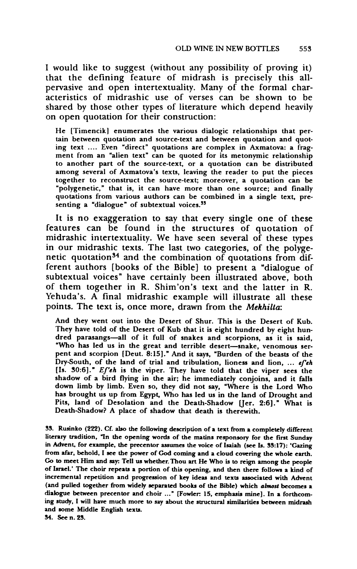**I would like to suggest (without any possibility of proving it) that the defining feature of midrash is precisely this allpervasive and open intertextuality. Many of the formal characteristics of midrashic use of verses can be shown to be shared by those other types of literature which depend heavily on open quotation for their construction:** 

**He [Timencik] enumerates the various dialogic relationships that pertain between quotation and source-text and between quotation and quoting text .... Even "direct" quotations are complex in Axmatova: a fragment from an "alien text" can be quoted for its metonymic relationship to another part of the source-text, or a quotation can be distributed among several of Axmatova's texts, leaving the reader to put the pieces together to reconstruct the source-text; moreover, a quotation can be "polygenetic," that is, it can have more than one source; and finally quotations from various authors can be combined in a single text, presenting a 'dialogue" of subtextual voices.33** 

**It is no exaggeration to say that every single one of these features can be found in the structures of quotation of midrashic intertextuality. We have seen several of these types in our midrashic texts. The last two categories, of the polygenetic quotation34 and the combination of quotations from different authors [books of the Bible] to present a "dialogue of subtextual voices" have certainly been illustrated above, both of them together in R. Shim'on's text and the latter in R. Yehuda's. A final midrashic example will illustrate all these points. The text is, once more, drawn from the Mekhilta:** 

**And they went out into the Desert of Shur. This is the Desert of Kub. They have told of the Desert of Kub that it is eight hundred by eight hundred parasangs-all of it full of snakes and scorpions, as it is said,**  "Who has led us in the great and terrible desert-snake, venomous ser**pent and scorpion [Deut. 8:15]." And it says, "Burden of the beasts of the Dry-South, of the land of trial and tribulation, lioness and lion, ... efeh [Is. 30:6]." Ef'eh is the viper. They have told that the viper sees the shadow of a bird flying in the air; he immediately conjoins, and it falls down limb by limb. Even so, they did not say, "Where is the Lord Who has brought us up from Egypt, Who has led us in the land of Drought and**  Pits, land of Desolation and the Death-Shadow [Jer. 2:6]." What is **Death-Shadow? A place of shadow that death is therewith.** 

**33. Rusinko (222). Cf. also the following description of a text from a completely different literary tradition, "In the opening words of the matins responsory for the first Sunday in Advent, for example, the precentor assumes the voice of Isaiah (see Is. 33:17): 'Gazing from afar, behold, I see the power of God coming and a cloud covering the whole earth.**  of Israel.' The choir repeats a portion of this opening, and then there follows a kind of **incremental repetition and progression of key ideas and texts associated with Advent (and pulled together from widely separated books of the Bible) which almost becomes a dialogue between precentor and choir ..." [Fowler 15, emphasis mine]. In a forthcoming study, I will have much more to say about the structural similarities between midrash and some Middle English texts.** 

**34. Seen. 23.**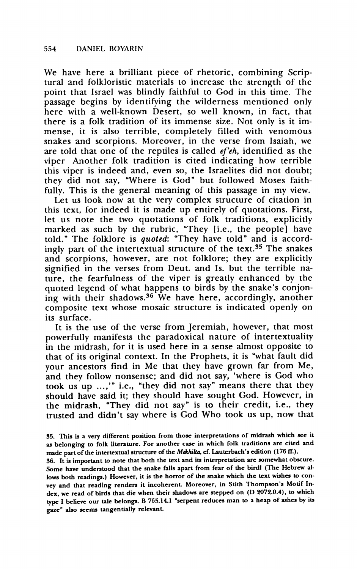**We have here a brilliant piece of rhetoric, combining Scriptural and folkloristic materials to increase the strength of the point that Israel was blindly faithful to God in this time. The passage begins by identifying the wilderness mentioned only here with a well-known Desert, so well known, in fact, that there is a folk tradition of its immense size. Not only is it immense, it is also terrible, completely filled with venomous snakes and scorpions. Moreover, in the verse from Isaiah, we**  are told that one of the reptiles is called *ef'eh*, identified as the **viper Another folk tradition is cited indicating how terrible this viper is indeed and, even so, the Israelites did not doubt; they did not say, "Where is God" but followed Moses faithfully. This is the general meaning of this passage in my view.** 

**Let us look now at the very complex structure of citation in this text, for indeed it is made up entirely of quotations. First,**  let us note the two quotations of folk traditions, explicitl **marked as such by the rubric, "They [i.e., the people] have told." The folklore is quoted: "They have told" and is accordingly part of the intertextual structure of the text.35 The snakes and scorpions, however, are not folklore; they are explicitly signified in the verses from Deut. and Is. but the terrible nature, the fearfulness of the viper is greatly enhanced by the quoted legend of what happens to birds by the snake's conjoning with their shadows.36 We have here, accordingly, another composite text whose mosaic structure is indicated openly on its surface.** 

**It is the use of the verse from Jeremiah, however, that most powerfully manifests the paradoxical nature of intertextuality in the midrash, for it is used here in a sense almost opposite to that of its original context. In the Prophets, it is "what fault did your ancestors find in Me that they have grown far from Me, and they follow nonsense; and did not say, 'where is God who took us up ...,'" i.e., "they did not say" means there that they should have said it; they should have sought God. However, in the midrash, "They did not say" is to their credit, i.e., they trusted and didn't say where is God Who took us up, now that** 

**36. It is important to note that both the text and its interpretation are somewhat obscure. Some have understood that the snake falls apart from fear of the birdl (The Hebrew allows both readings.) However, it is the horror of the snake which the text wishes to convey and that reading renders it incoherent Moreover, in Stith Thompson's Motif Index, we read of birds that die when their shadows are stepped on (D 2072.0.4), to which type I believe our tale belongs. B 765.14.1 'serpent reduces man to a heap of ashes by its gaze" also seems tangentially relevant** 

**<sup>35.</sup> This is a very different position from those interpretations of midrash which see it as belonging to folk literature. For another case in which folk traditions are cited and**  made part of the intertextual structure of the Mekhilta, cf. Lauterbach's edition (176 ff.).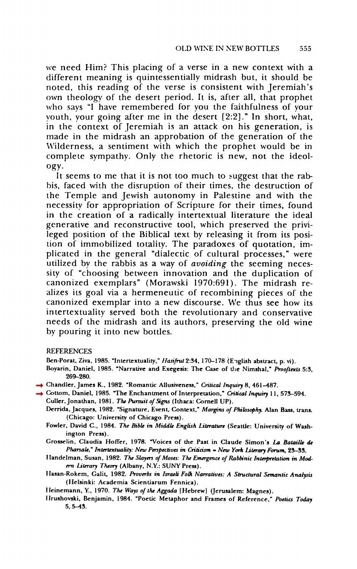**we need Him? This placing of a verse in a new context with a different meaning is quintessentially midrash but, it should be noted, this reading of the verse is consistent with Jeremiah's own theology of the desert period. It is, after all, that prophet who says "I have remembered for you the faithfulness of your youth, your going after me in the desert [2:2]." In short, what, in the context of Jeremiah is an attack on his generation, is made in the midrash an approbation of the generation of the Wilderness, a sentiment with which the prophet would be in complete sympathy. Only the rhetoric is new, not the ideology.** 

**It seems to me that it is not too much to suggest that the rabbis, faced with the disruption of their times, the destruction of the Temple and Jewish autonomy in Palestine and with the necessity for appropriation of Scripture for their times, found in the creation of a radically intertextual literature the ideal generative and reconstructive tool, which preserved the privileged position of the Biblical text by releasing it from its position of immobilized totality. The paradoxes of quotation, implicated in the general "dialectic of cultural processes," were utilized by the rabbis as a way of avoiding the seeming necessity of "choosing between innovation and the duplication of canonized exemplars" (Morawski 1970:691). The midrash realizes its goal via a hermeneutic of recombining pieces of the canonized exemplar into a new discourse. We thus see how its intertextuality served both the revolutionary and conservative needs of the midrash and its authors, preserving the old wine by pouring it into new bottles.** 

## **REFERENCES**

- Ben-Porat, Ziva, 1985. "Intertextuality," Hasifrut 2:34, 170-178 (English abstract, p. vi).
- **Boyarin, Daniel, 1985. 'Narrative and Exegesis: The Case of the Nimshal," Prooftexts 5:3, 269-280.**
- **Chandler, James K., 1982. 'Romantic Allusiveness," Critical Inquiry 8, 461-487.**
- **Cottom, Daniel, 1985. 'The Enchantment of Interpretation," Critical Inquiry 11, 573-594.** 
	- **Culler, Jonathan, 1981. The Pursuit of Signs (Ithaca: Cornell UP).**
	- **Derrida, Jacques, 1982. 'Signature, Event, Context," Margins of Philosophy. Alan Bass, trans. (Chicago: University of Chicago Press).**
	- Fowler, David C., 1984. The Bible in Middle English Literature (Seattle: University of Wash**ington Press).**
	- **Crosselin, Claudia Hoffer, 1978. "Voices of the Past in Claude Simon's La Bataille de**  Pharsale," Intertextuality: New Perspectives in Criticism = New York Literary Forum, 23-33.
	- Handelman, Susan, 1982. The Slayers of Moses: The Emergence of Rabbinic Interpretation in Mod**en Literary Theory (Albany, N.Y.: SUNY Press).**
	- **Ilasan-Rokem, Galit, 1982. Proverbs in Israeli Folk Narratives: A Structural Semantic Analysis (Helsinki: Academia Scientiarum Fennica).**

**I leinemann, Y., 1970. The Ways of the Aggada [Hebrew (Jerusalem: Magnes).** 

**lrushovski, Benjamin, 1984. "Poetic Metaphor and Frames of Reference," Poetics Today 5,5-43.**